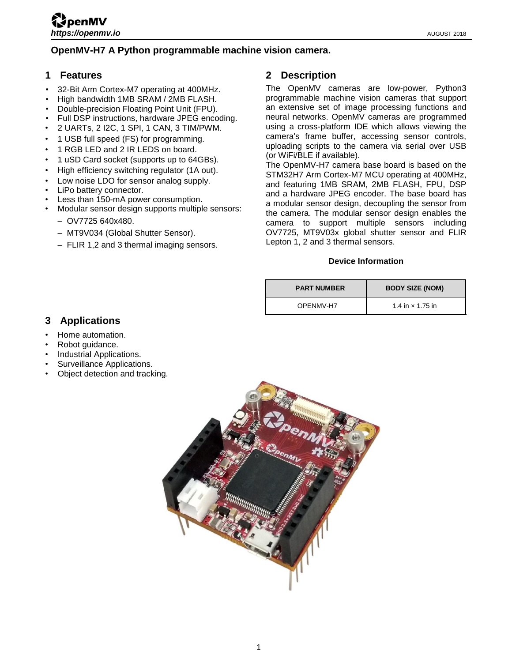## **OpenMV-H7 A Python programmable machine vision camera.**

### <span id="page-0-0"></span>**1 Features**

- 32-Bit Arm Cortex-M7 operating at 400MHz.
- High bandwidth 1MB SRAM / 2MB FLASH.
- Double-precision Floating Point Unit (FPU).
- Full DSP instructions, hardware JPEG encoding.
- 2 UARTs, 2 I2C, 1 SPI, 1 CAN, 3 TIM/PWM.
- 1 USB full speed (FS) for programming.
- 1 RGB LED and 2 IR LEDS on board.
- 1 uSD Card socket (supports up to 64GBs).
- High efficiency switching regulator (1A out).
- Low noise LDO for sensor analog supply.
- LiPo battery connector.
- Less than 150-mA power consumption.
- Modular sensor design supports multiple sensors:
	- OV7725 640x480.
	- MT9V034 (Global Shutter Sensor).
	- FLIR 1,2 and 3 thermal imaging sensors.

## <span id="page-0-1"></span>**2 Description**

The OpenMV cameras are low-power, Python3 programmable machine vision cameras that support an extensive set of image processing functions and neural networks. OpenMV cameras are programmed using a cross-platform IDE which allows viewing the camera's frame buffer, accessing sensor controls, uploading scripts to the camera via serial over USB (or WiFi/BLE if available).

The OpenMV-H7 camera base board is based on the STM32H7 Arm Cortex-M7 MCU operating at 400MHz, and featuring 1MB SRAM, 2MB FLASH, FPU, DSP and a hardware JPEG encoder. The base board has a modular sensor design, decoupling the sensor from the camera. The modular sensor design enables the camera to support multiple sensors including OV7725, MT9V03x global shutter sensor and FLIR Lepton 1, 2 and 3 thermal sensors.

#### **Device Information**

| <b>PART NUMBER</b> | <b>BODY SIZE (NOM)</b>  |  |
|--------------------|-------------------------|--|
| OPFNMV-H7          | 1.4 in $\times$ 1.75 in |  |

# <span id="page-0-2"></span>**3 Applications**

- Home automation.
- Robot quidance.
- Industrial Applications.
- Surveillance Applications.
- Object detection and tracking.

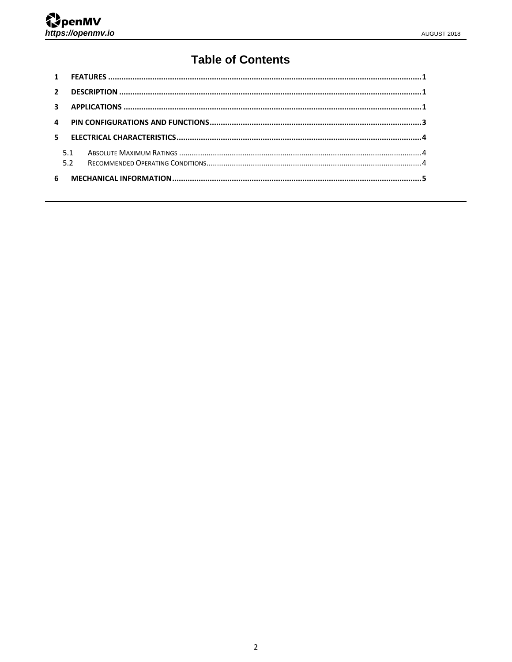# **Table of Contents**

| 5.1 |  |
|-----|--|
| 6   |  |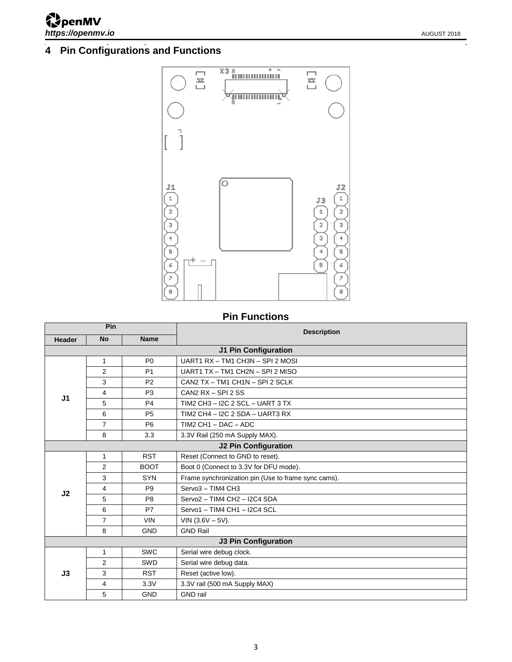# <span id="page-2-0"></span>**Pin Configurations and Functions**



# **Pin Functions**

| Pin                                |                             |                | <b>Description</b>                                  |  |  |
|------------------------------------|-----------------------------|----------------|-----------------------------------------------------|--|--|
| <b>No</b><br><b>Name</b><br>Header |                             |                |                                                     |  |  |
|                                    | <b>J1 Pin Configuration</b> |                |                                                     |  |  |
|                                    | 1                           | P <sub>0</sub> | UART1 RX - TM1 CH3N - SPI 2 MOSI                    |  |  |
|                                    | $\overline{2}$              | P <sub>1</sub> | UART1 TX - TM1 CH2N - SPI 2 MISO                    |  |  |
|                                    | 3                           | P <sub>2</sub> | CAN2 TX - TM1 CH1N - SPI 2 SCLK                     |  |  |
| J <sub>1</sub>                     | 4                           | P <sub>3</sub> | CAN2 $RX - SPI 2 SS$                                |  |  |
|                                    | 5                           | P <sub>4</sub> | TIM2 CH3 - I2C 2 SCL - UART 3 TX                    |  |  |
|                                    | 6                           | P <sub>5</sub> | TIM2 CH4 - I2C 2 SDA - UART3 RX                     |  |  |
|                                    | $\overline{7}$              | P <sub>6</sub> | TIM2 CH1 $-$ DAC $-$ ADC                            |  |  |
|                                    | 8                           | 3.3            | 3.3V Rail (250 mA Supply MAX).                      |  |  |
|                                    | <b>J2 Pin Configuration</b> |                |                                                     |  |  |
|                                    | 1                           | <b>RST</b>     | Reset (Connect to GND to reset).                    |  |  |
|                                    | $\overline{2}$              | <b>BOOT</b>    | Boot 0 (Connect to 3.3V for DFU mode).              |  |  |
|                                    | 3                           | <b>SYN</b>     | Frame synchronization pin (Use to frame sync cams). |  |  |
| J2                                 | 4                           | P <sub>9</sub> | Servo3 - TIM4 CH3                                   |  |  |
|                                    | 5                           | P <sub>8</sub> | Servo2 - TIM4 CH2 - I2C4 SDA                        |  |  |
|                                    | 6                           | <b>P7</b>      | Servo1 - TIM4 CH1 - I2C4 SCL                        |  |  |
|                                    | $\overline{7}$              | <b>VIN</b>     | $VIN (3.6V - 5V).$                                  |  |  |
|                                    | 8                           | <b>GND</b>     | <b>GND Rail</b>                                     |  |  |
|                                    |                             |                | <b>J3 Pin Configuration</b>                         |  |  |
|                                    | 1                           | <b>SWC</b>     | Serial wire debug clock.                            |  |  |
|                                    | $\overline{2}$              | <b>SWD</b>     | Serial wire debug data.                             |  |  |
| J3                                 | 3                           | <b>RST</b>     | Reset (active low).                                 |  |  |
|                                    | 4                           | 3.3V           | 3.3V rail (500 mA Supply MAX)                       |  |  |
|                                    | 5                           | <b>GND</b>     | <b>GND</b> rail                                     |  |  |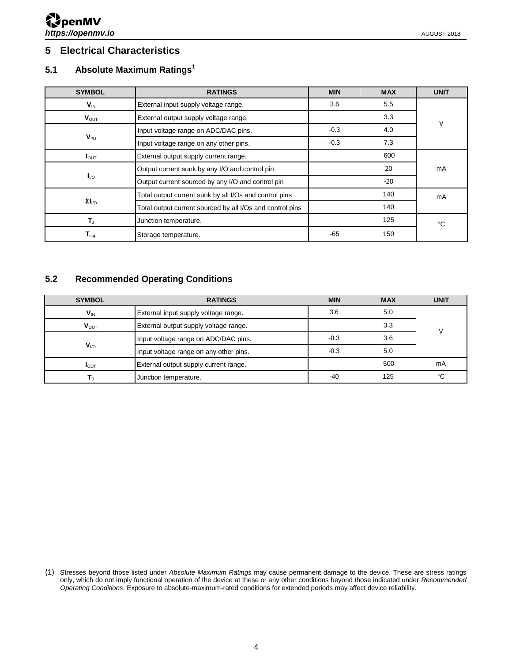## <span id="page-3-0"></span>**5 Electrical Characteristics**

### <span id="page-3-1"></span>**5.1 Absolute Maximum Ratings<sup>1</sup>**

| <b>SYMBOL</b>                | <b>RATINGS</b>                                            | <b>MIN</b> | <b>MAX</b> | <b>UNIT</b> |
|------------------------------|-----------------------------------------------------------|------------|------------|-------------|
| $V_{\text{IN}}$              | External input supply voltage range.                      | 3.6        | 5.5        |             |
| $V_{\text{OUT}}$             | External output supply voltage range.                     |            | 3.3        | V           |
|                              | Input voltage range on ADC/DAC pins.                      | $-0.3$     | 4.0        |             |
| $V_{VQ}$                     | Input voltage range on any other pins.                    | $-0.3$     | 7.3        |             |
| $I_{\text{OUT}}$             | External output supply current range.                     |            | 600        |             |
|                              | Output current sunk by any I/O and control pin            |            | 20         | mA          |
| $I_{\text{IO}}$              | Output current sourced by any I/O and control pin         |            | $-20$      |             |
|                              | Total output current sunk by all I/Os and control pins    |            | 140        | mA          |
| $\Sigma I_{\text{LO}}$       | Total output current sourced by all I/Os and control pins |            | 140        |             |
| T,                           | Junction temperature.                                     |            | 125        | °C          |
| ${\mathsf T}_{\textsf{stq}}$ | Storage temperature.                                      | $-65$      | 150        |             |

### <span id="page-3-2"></span>**5.2 Recommended Operating Conditions**

| <b>SYMBOL</b>    | <b>RATINGS</b>                         | <b>MIN</b> | <b>MAX</b> | <b>UNIT</b> |
|------------------|----------------------------------------|------------|------------|-------------|
| $V_{\text{IN}}$  | External input supply voltage range.   | 3.6        | 5.0        |             |
| $V_{\text{OUT}}$ | External output supply voltage range.  |            | 3.3        |             |
|                  | Input voltage range on ADC/DAC pins.   | $-0.3$     | 3.6        |             |
| $V_{VQ}$         | Input voltage range on any other pins. | $-0.3$     | 5.0        |             |
| $I_{\text{OUT}}$ | External output supply current range.  |            | 500        | mA          |
|                  | Junction temperature.                  | $-40$      | 125        | °C          |

(1) Stresses beyond those listed under *Absolute Maximum Ratings* may cause permanent damage to the device. These are stress ratings only, which do not imply functional operation of the device at these or any other conditions beyond those indicated under *Recommended Operating Conditions*. Exposure to absolute-maximum-rated conditions for extended periods may affect device reliability.